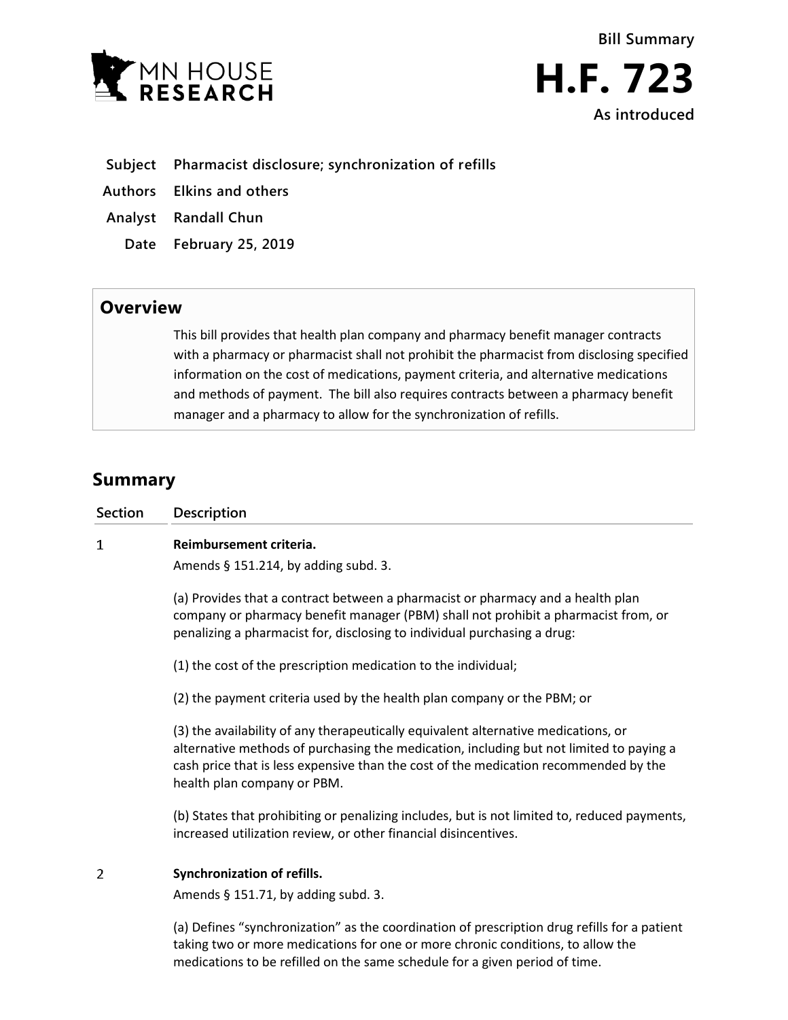



- **Subject Pharmacist disclosure; synchronization of refills**
- **Authors Elkins and others**
- **Analyst Randall Chun**
	- **Date February 25, 2019**

## **Overview**

This bill provides that health plan company and pharmacy benefit manager contracts with a pharmacy or pharmacist shall not prohibit the pharmacist from disclosing specified information on the cost of medications, payment criteria, and alternative medications and methods of payment. The bill also requires contracts between a pharmacy benefit manager and a pharmacy to allow for the synchronization of refills.

## **Summary**

| <b>Section</b> | <b>Description</b>                                                                                                                                                                                                                                                                                   |
|----------------|------------------------------------------------------------------------------------------------------------------------------------------------------------------------------------------------------------------------------------------------------------------------------------------------------|
| 1              | Reimbursement criteria.                                                                                                                                                                                                                                                                              |
|                | Amends § 151.214, by adding subd. 3.                                                                                                                                                                                                                                                                 |
|                | (a) Provides that a contract between a pharmacist or pharmacy and a health plan<br>company or pharmacy benefit manager (PBM) shall not prohibit a pharmacist from, or<br>penalizing a pharmacist for, disclosing to individual purchasing a drug:                                                    |
|                | (1) the cost of the prescription medication to the individual;                                                                                                                                                                                                                                       |
|                | (2) the payment criteria used by the health plan company or the PBM; or                                                                                                                                                                                                                              |
|                | (3) the availability of any therapeutically equivalent alternative medications, or<br>alternative methods of purchasing the medication, including but not limited to paying a<br>cash price that is less expensive than the cost of the medication recommended by the<br>health plan company or PBM. |
|                | (b) States that prohibiting or penalizing includes, but is not limited to, reduced payments,<br>increased utilization review, or other financial disincentives.                                                                                                                                      |
| 2              | Synchronization of refills.<br>Amends $\S$ 151.71, by adding subd. 3.                                                                                                                                                                                                                                |
|                | (a) Defines "synchronization" as the coordination of prescription drug refills for a patient                                                                                                                                                                                                         |

(a) Defines "synchronization" as the coordination of prescription drug refills for a patient taking two or more medications for one or more chronic conditions, to allow the medications to be refilled on the same schedule for a given period of time.